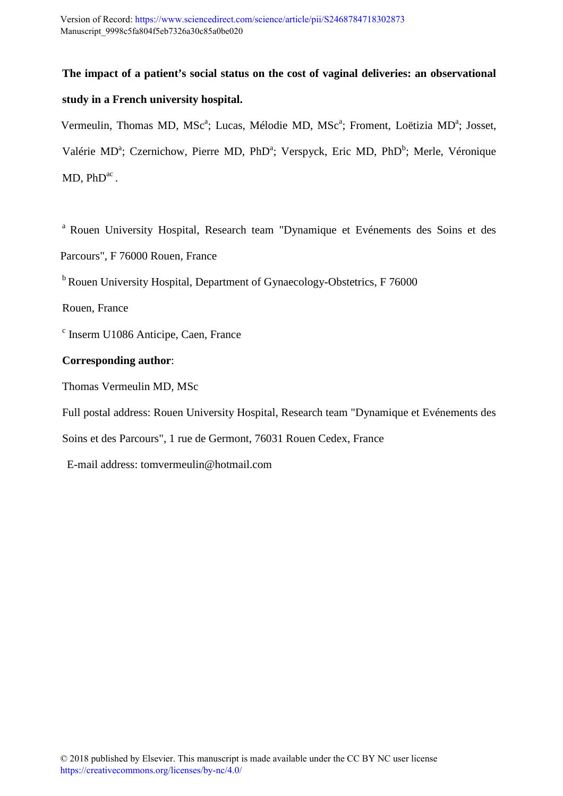**The impact of a patient's social status on the cost of vaginal deliveries: an observational study in a French university hospital.** 

Vermeulin, Thomas MD, MSc<sup>a</sup>; Lucas, Mélodie MD, MSc<sup>a</sup>; Froment, Loëtizia MD<sup>a</sup>; Josset, Valérie MD<sup>a</sup>; Czernichow, Pierre MD, PhD<sup>a</sup>; Verspyck, Eric MD, PhD<sup>b</sup>; Merle, Véronique  $MD$ ,  $PhD<sup>ac</sup>$ .

<sup>a</sup> Rouen University Hospital, Research team "Dynamique et Evénements des Soins et des Parcours", F 76000 Rouen, France

 $b$ Rouen University Hospital, Department of Gynaecology-Obstetrics, F 76000

Rouen, France

c Inserm U1086 Anticipe, Caen, France

## **Corresponding author**:

Thomas Vermeulin MD, MSc

Full postal address: Rouen University Hospital, Research team "Dynamique et Evénements des

Soins et des Parcours", 1 rue de Germont, 76031 Rouen Cedex, France

E-mail address: tomvermeulin@hotmail.com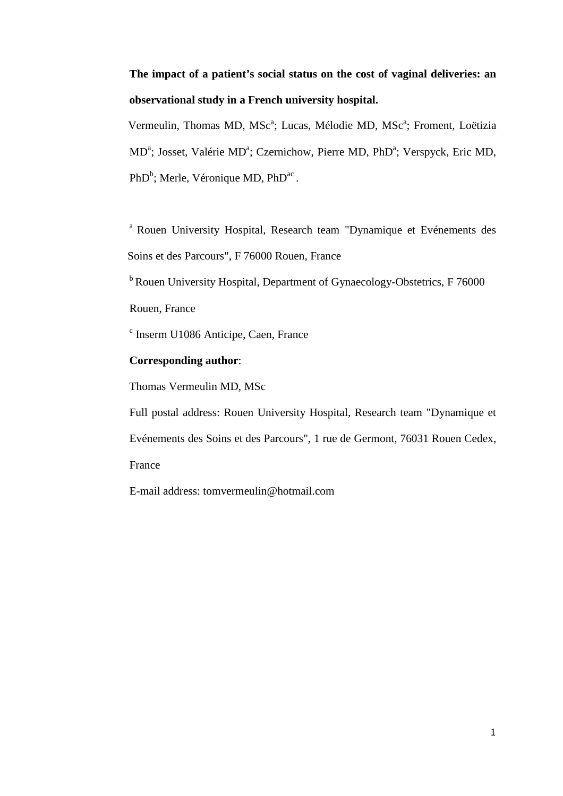# **The impact of a patient's social status on the cost of vaginal deliveries: an observational study in a French university hospital.**

Vermeulin, Thomas MD, MSc<sup>a</sup>; Lucas, Mélodie MD, MSc<sup>a</sup>; Froment, Loëtizia MD<sup>a</sup>; Josset, Valérie MD<sup>a</sup>; Czernichow, Pierre MD, PhD<sup>a</sup>; Verspyck, Eric MD,  $PhD<sup>b</sup>$ ; Merle, Véronique MD, Ph $D<sup>ac</sup>$ .

<sup>a</sup> Rouen University Hospital, Research team "Dynamique et Evénements des Soins et des Parcours", F 76000 Rouen, France

 $b$ Rouen University Hospital, Department of Gynaecology-Obstetrics, F 76000 Rouen, France

c Inserm U1086 Anticipe, Caen, France

## **Corresponding author**:

Thomas Vermeulin MD, MSc

Full postal address: Rouen University Hospital, Research team "Dynamique et Evénements des Soins et des Parcours", 1 rue de Germont, 76031 Rouen Cedex, France

E-mail address: tomvermeulin@hotmail.com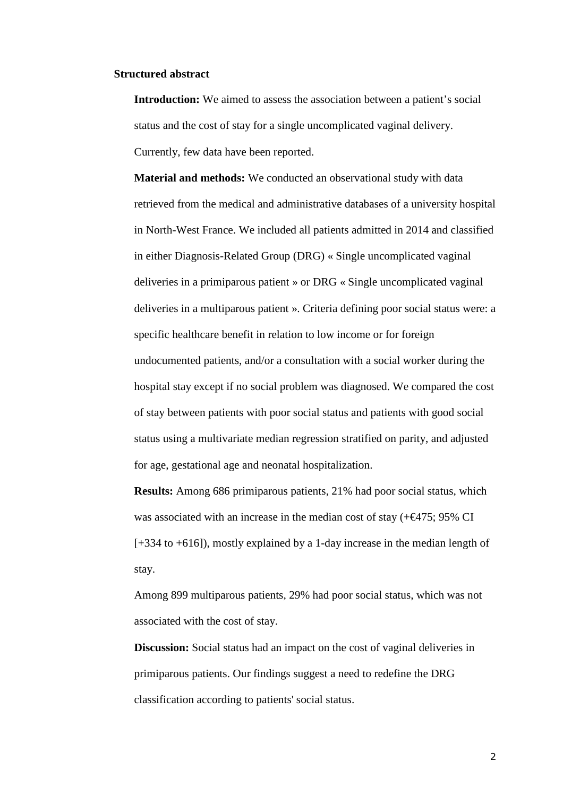#### **Structured abstract**

**Introduction:** We aimed to assess the association between a patient's social status and the cost of stay for a single uncomplicated vaginal delivery. Currently, few data have been reported.

**Material and methods:** We conducted an observational study with data retrieved from the medical and administrative databases of a university hospital in North-West France. We included all patients admitted in 2014 and classified in either Diagnosis-Related Group (DRG) « Single uncomplicated vaginal deliveries in a primiparous patient » or DRG « Single uncomplicated vaginal deliveries in a multiparous patient ». Criteria defining poor social status were: a specific healthcare benefit in relation to low income or for foreign undocumented patients, and/or a consultation with a social worker during the hospital stay except if no social problem was diagnosed. We compared the cost of stay between patients with poor social status and patients with good social status using a multivariate median regression stratified on parity, and adjusted for age, gestational age and neonatal hospitalization.

**Results:** Among 686 primiparous patients, 21% had poor social status, which was associated with an increase in the median cost of stay  $(+\epsilon 475; 95\% \text{ CI})$ [+334 to +616]), mostly explained by a 1-day increase in the median length of stay.

Among 899 multiparous patients, 29% had poor social status, which was not associated with the cost of stay.

**Discussion:** Social status had an impact on the cost of vaginal deliveries in primiparous patients. Our findings suggest a need to redefine the DRG classification according to patients' social status.

2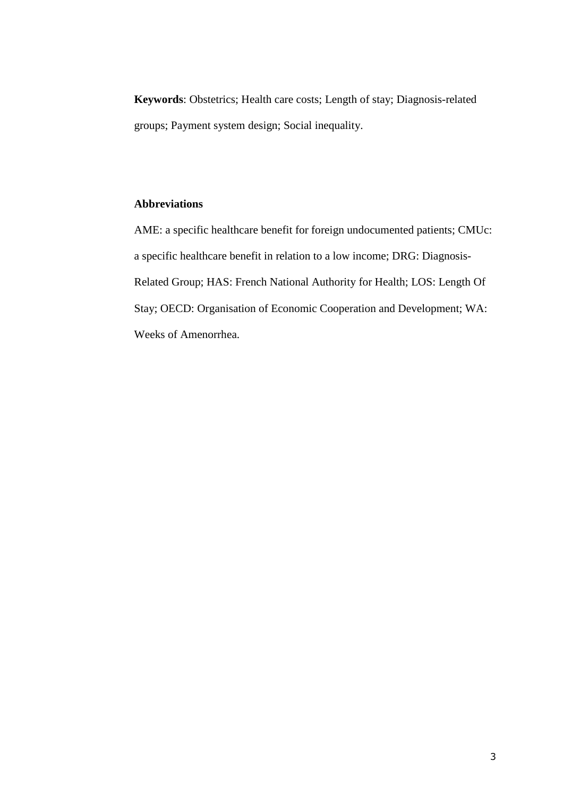**Keywords**: Obstetrics; Health care costs; Length of stay; Diagnosis-related groups; Payment system design; Social inequality.

## **Abbreviations**

AME: a specific healthcare benefit for foreign undocumented patients; CMUc: a specific healthcare benefit in relation to a low income; DRG: Diagnosis-Related Group; HAS: French National Authority for Health; LOS: Length Of Stay; OECD: Organisation of Economic Cooperation and Development; WA: Weeks of Amenorrhea.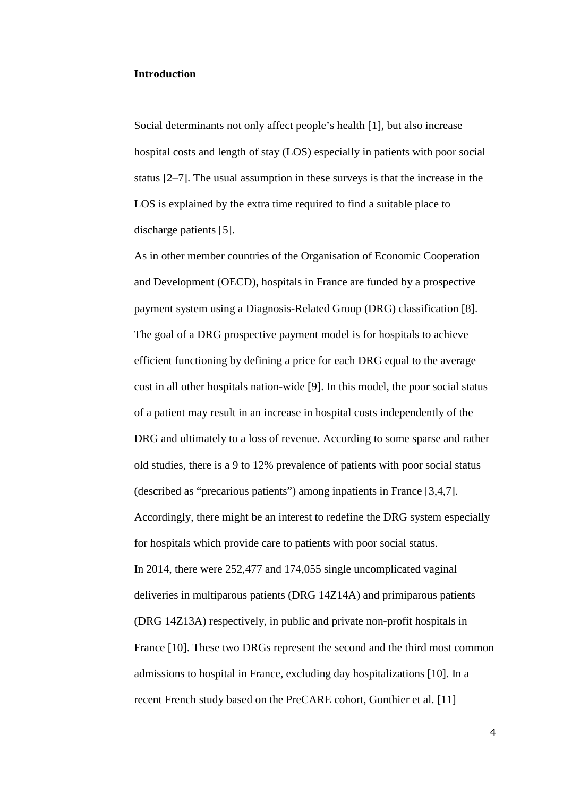#### **Introduction**

Social determinants not only affect people's health [1], but also increase hospital costs and length of stay (LOS) especially in patients with poor social status [2–7]. The usual assumption in these surveys is that the increase in the LOS is explained by the extra time required to find a suitable place to discharge patients [5].

As in other member countries of the Organisation of Economic Cooperation and Development (OECD), hospitals in France are funded by a prospective payment system using a Diagnosis-Related Group (DRG) classification [8]. The goal of a DRG prospective payment model is for hospitals to achieve efficient functioning by defining a price for each DRG equal to the average cost in all other hospitals nation-wide [9]. In this model, the poor social status of a patient may result in an increase in hospital costs independently of the DRG and ultimately to a loss of revenue. According to some sparse and rather old studies, there is a 9 to 12% prevalence of patients with poor social status (described as "precarious patients") among inpatients in France [3,4,7]. Accordingly, there might be an interest to redefine the DRG system especially for hospitals which provide care to patients with poor social status. In 2014, there were 252,477 and 174,055 single uncomplicated vaginal deliveries in multiparous patients (DRG 14Z14A) and primiparous patients (DRG 14Z13A) respectively, in public and private non-profit hospitals in France [10]. These two DRGs represent the second and the third most common admissions to hospital in France, excluding day hospitalizations [10]. In a recent French study based on the PreCARE cohort, Gonthier et al. [11]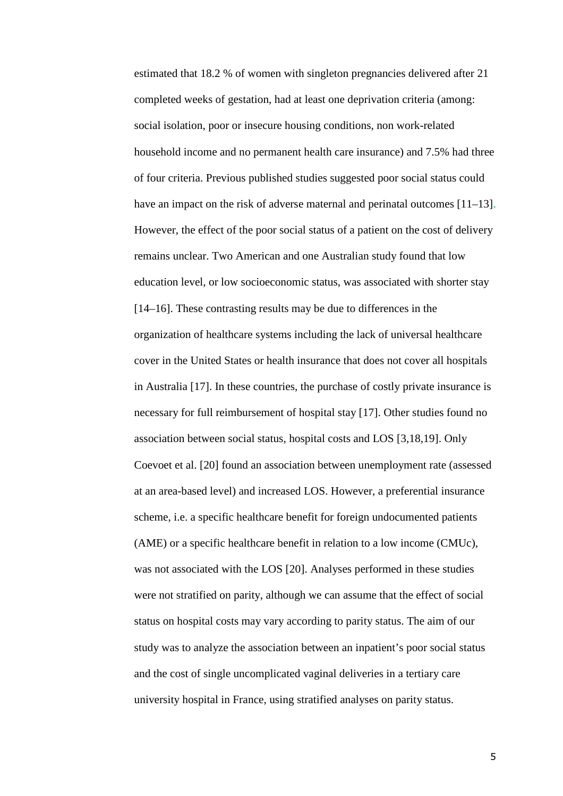estimated that 18.2 % of women with singleton pregnancies delivered after 21 completed weeks of gestation, had at least one deprivation criteria (among: social isolation, poor or insecure housing conditions, non work-related household income and no permanent health care insurance) and 7.5% had three of four criteria. Previous published studies suggested poor social status could have an impact on the risk of adverse maternal and perinatal outcomes [11–13]. However, the effect of the poor social status of a patient on the cost of delivery remains unclear. Two American and one Australian study found that low education level, or low socioeconomic status, was associated with shorter stay [14–16]. These contrasting results may be due to differences in the organization of healthcare systems including the lack of universal healthcare cover in the United States or health insurance that does not cover all hospitals in Australia [17]. In these countries, the purchase of costly private insurance is necessary for full reimbursement of hospital stay [17]. Other studies found no association between social status, hospital costs and LOS [3,18,19]. Only Coevoet et al. [20] found an association between unemployment rate (assessed at an area-based level) and increased LOS. However, a preferential insurance scheme, i.e. a specific healthcare benefit for foreign undocumented patients (AME) or a specific healthcare benefit in relation to a low income (CMUc), was not associated with the LOS [20]. Analyses performed in these studies were not stratified on parity, although we can assume that the effect of social status on hospital costs may vary according to parity status. The aim of our study was to analyze the association between an inpatient's poor social status and the cost of single uncomplicated vaginal deliveries in a tertiary care university hospital in France, using stratified analyses on parity status.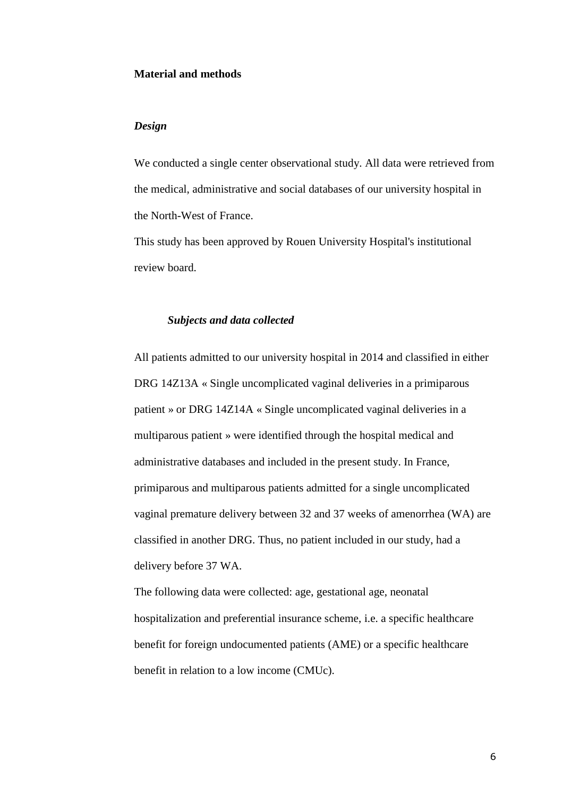### **Material and methods**

#### *Design*

We conducted a single center observational study. All data were retrieved from the medical, administrative and social databases of our university hospital in the North-West of France.

This study has been approved by Rouen University Hospital's institutional review board.

#### *Subjects and data collected*

All patients admitted to our university hospital in 2014 and classified in either DRG 14Z13A « Single uncomplicated vaginal deliveries in a primiparous patient » or DRG 14Z14A « Single uncomplicated vaginal deliveries in a multiparous patient » were identified through the hospital medical and administrative databases and included in the present study. In France, primiparous and multiparous patients admitted for a single uncomplicated vaginal premature delivery between 32 and 37 weeks of amenorrhea (WA) are classified in another DRG. Thus, no patient included in our study, had a delivery before 37 WA.

The following data were collected: age, gestational age, neonatal hospitalization and preferential insurance scheme, i.e. a specific healthcare benefit for foreign undocumented patients (AME) or a specific healthcare benefit in relation to a low income (CMUc).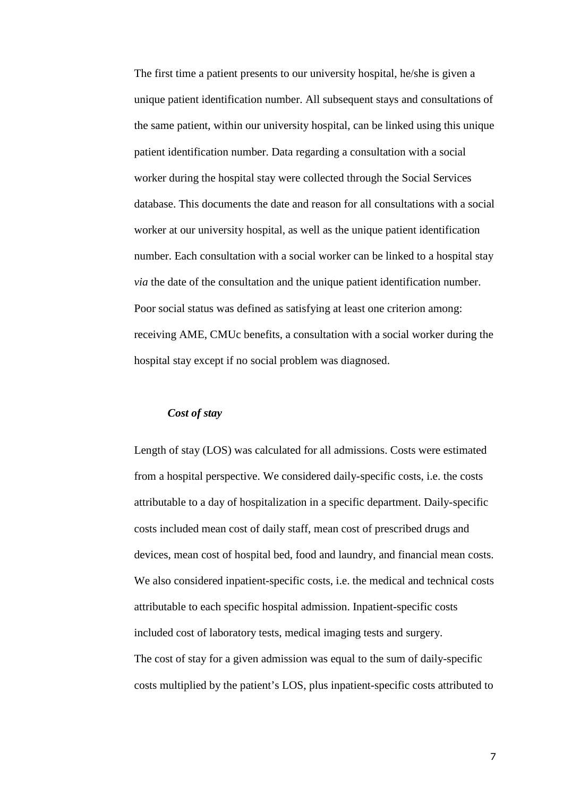The first time a patient presents to our university hospital, he/she is given a unique patient identification number. All subsequent stays and consultations of the same patient, within our university hospital, can be linked using this unique patient identification number. Data regarding a consultation with a social worker during the hospital stay were collected through the Social Services database. This documents the date and reason for all consultations with a social worker at our university hospital, as well as the unique patient identification number. Each consultation with a social worker can be linked to a hospital stay *via* the date of the consultation and the unique patient identification number. Poor social status was defined as satisfying at least one criterion among: receiving AME, CMUc benefits, a consultation with a social worker during the hospital stay except if no social problem was diagnosed.

## *Cost of stay*

Length of stay (LOS) was calculated for all admissions. Costs were estimated from a hospital perspective. We considered daily-specific costs, i.e. the costs attributable to a day of hospitalization in a specific department. Daily-specific costs included mean cost of daily staff, mean cost of prescribed drugs and devices, mean cost of hospital bed, food and laundry, and financial mean costs. We also considered inpatient-specific costs, i.e. the medical and technical costs attributable to each specific hospital admission. Inpatient-specific costs included cost of laboratory tests, medical imaging tests and surgery. The cost of stay for a given admission was equal to the sum of daily-specific costs multiplied by the patient's LOS, plus inpatient-specific costs attributed to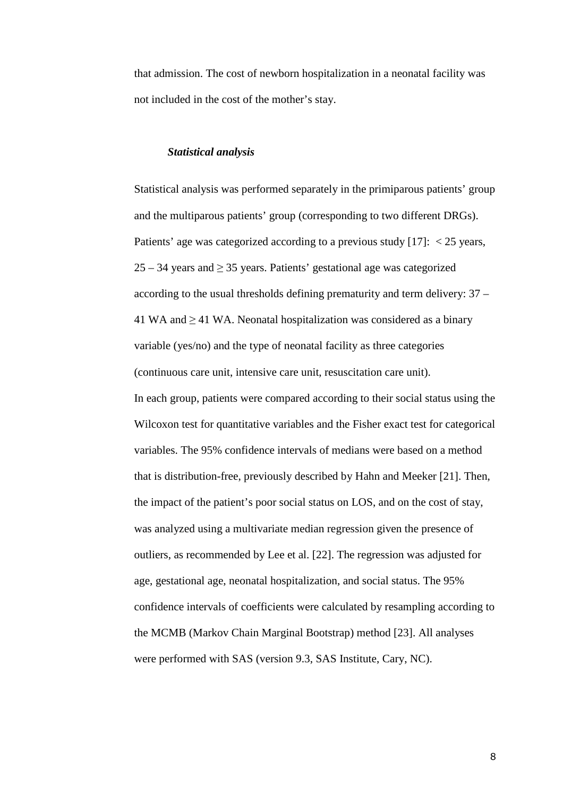that admission. The cost of newborn hospitalization in a neonatal facility was not included in the cost of the mother's stay.

#### *Statistical analysis*

Statistical analysis was performed separately in the primiparous patients' group and the multiparous patients' group (corresponding to two different DRGs). Patients' age was categorized according to a previous study [17]: < 25 years, 25 – 34 years and ≥ 35 years. Patients' gestational age was categorized according to the usual thresholds defining prematurity and term delivery: 37 – 41 WA and  $\geq$  41 WA. Neonatal hospitalization was considered as a binary variable (yes/no) and the type of neonatal facility as three categories (continuous care unit, intensive care unit, resuscitation care unit). In each group, patients were compared according to their social status using the Wilcoxon test for quantitative variables and the Fisher exact test for categorical variables. The 95% confidence intervals of medians were based on a method that is distribution-free, previously described by Hahn and Meeker [21]. Then, the impact of the patient's poor social status on LOS, and on the cost of stay, was analyzed using a multivariate median regression given the presence of outliers, as recommended by Lee et al. [22]. The regression was adjusted for age, gestational age, neonatal hospitalization, and social status. The 95% confidence intervals of coefficients were calculated by resampling according to the MCMB (Markov Chain Marginal Bootstrap) method [23]. All analyses were performed with SAS (version 9.3, SAS Institute, Cary, NC).

8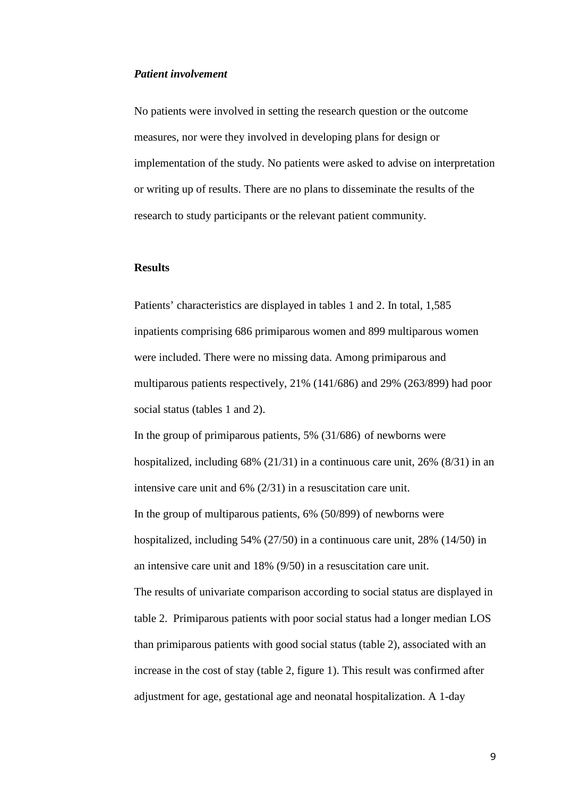## *Patient involvement*

No patients were involved in setting the research question or the outcome measures, nor were they involved in developing plans for design or implementation of the study. No patients were asked to advise on interpretation or writing up of results. There are no plans to disseminate the results of the research to study participants or the relevant patient community.

#### **Results**

Patients' characteristics are displayed in tables 1 and 2. In total, 1,585 inpatients comprising 686 primiparous women and 899 multiparous women were included. There were no missing data. Among primiparous and multiparous patients respectively, 21% (141/686) and 29% (263/899) had poor social status (tables 1 and 2).

In the group of primiparous patients, 5% (31/686) of newborns were hospitalized, including  $68\%$  (21/31) in a continuous care unit, 26% (8/31) in an intensive care unit and 6% (2/31) in a resuscitation care unit. In the group of multiparous patients, 6% (50/899) of newborns were hospitalized, including 54% (27/50) in a continuous care unit, 28% (14/50) in an intensive care unit and 18% (9/50) in a resuscitation care unit. The results of univariate comparison according to social status are displayed in table 2. Primiparous patients with poor social status had a longer median LOS than primiparous patients with good social status (table 2), associated with an increase in the cost of stay (table 2, figure 1). This result was confirmed after adjustment for age, gestational age and neonatal hospitalization. A 1-day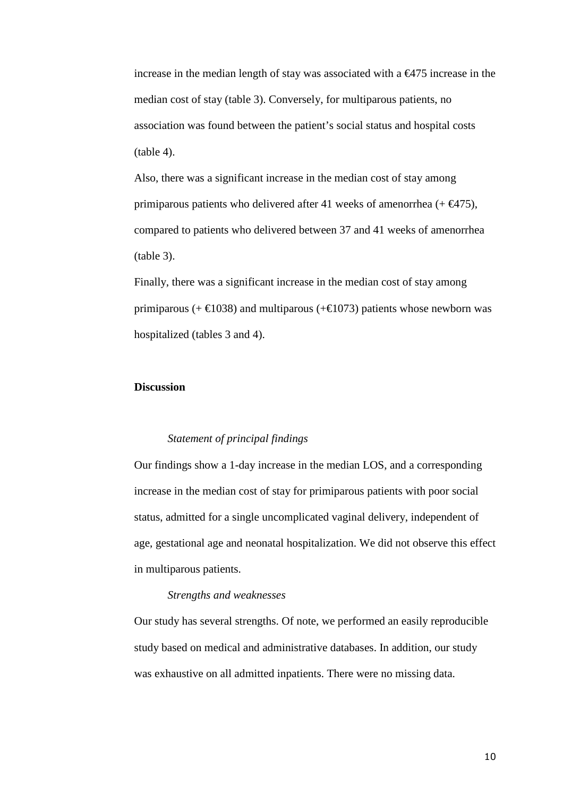increase in the median length of stay was associated with a  $\epsilon$ 475 increase in the median cost of stay (table 3). Conversely, for multiparous patients, no association was found between the patient's social status and hospital costs (table 4).

Also, there was a significant increase in the median cost of stay among primiparous patients who delivered after 41 weeks of amenorrhea  $(+\epsilon 475)$ , compared to patients who delivered between 37 and 41 weeks of amenorrhea (table 3).

Finally, there was a significant increase in the median cost of stay among primiparous (+  $\text{\textsterling}1038$ ) and multiparous (+ $\text{\textsterling}1073$ ) patints whose newborn was hospitalized (tables 3 and 4).

#### **Discussion**

#### *Statement of principal findings*

Our findings show a 1-day increase in the median LOS, and a corresponding increase in the median cost of stay for primiparous patients with poor social status, admitted for a single uncomplicated vaginal delivery, independent of age, gestational age and neonatal hospitalization. We did not observe this effect in multiparous patients.

#### *Strengths and weaknesses*

Our study has several strengths. Of note, we performed an easily reproducible study based on medical and administrative databases. In addition, our study was exhaustive on all admitted inpatients. There were no missing data.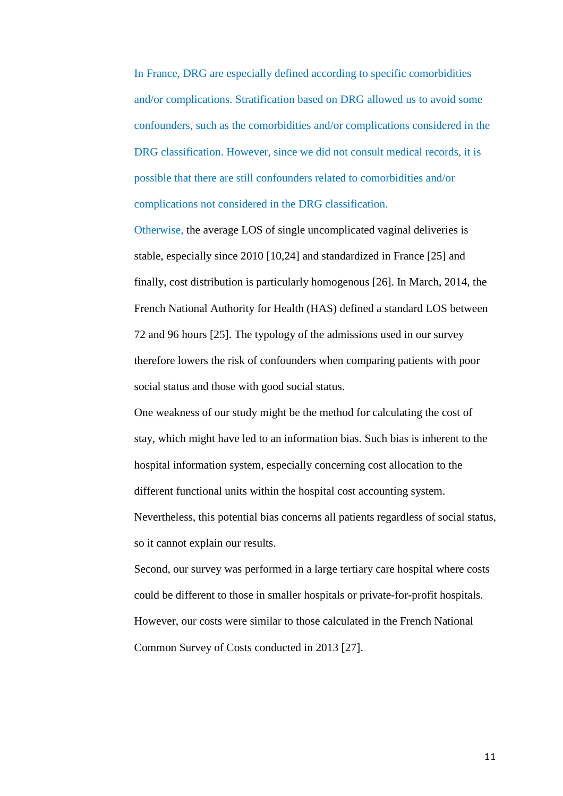In France, DRG are especially defined according to specific comorbidities and/or complications. Stratification based on DRG allowed us to avoid some confounders, such as the comorbidities and/or complications considered in the DRG classification. However, since we did not consult medical records, it is possible that there are still confounders related to comorbidities and/or complications not considered in the DRG classification.

Otherwise, the average LOS of single uncomplicated vaginal deliveries is stable, especially since 2010 [10,24] and standardized in France [25] and finally, cost distribution is particularly homogenous [26]. In March, 2014, the French National Authority for Health (HAS) defined a standard LOS between 72 and 96 hours [25]. The typology of the admissions used in our survey therefore lowers the risk of confounders when comparing patients with poor social status and those with good social status.

One weakness of our study might be the method for calculating the cost of stay, which might have led to an information bias. Such bias is inherent to the hospital information system, especially concerning cost allocation to the different functional units within the hospital cost accounting system. Nevertheless, this potential bias concerns all patients regardless of social status, so it cannot explain our results.

Second, our survey was performed in a large tertiary care hospital where costs could be different to those in smaller hospitals or private-for-profit hospitals. However, our costs were similar to those calculated in the French National Common Survey of Costs conducted in 2013 [27].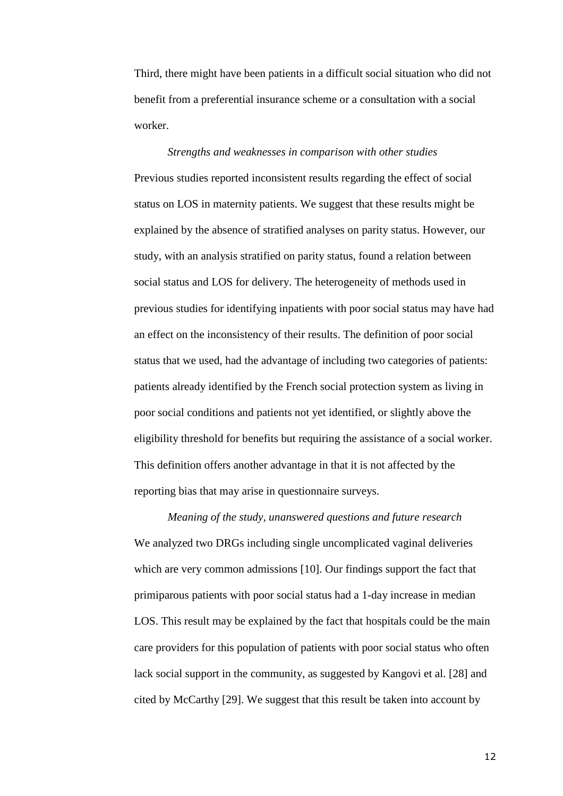Third, there might have been patients in a difficult social situation who did not benefit from a preferential insurance scheme or a consultation with a social worker.

*Strengths and weaknesses in comparison with other studies*  Previous studies reported inconsistent results regarding the effect of social status on LOS in maternity patients. We suggest that these results might be explained by the absence of stratified analyses on parity status. However, our study, with an analysis stratified on parity status, found a relation between social status and LOS for delivery. The heterogeneity of methods used in previous studies for identifying inpatients with poor social status may have had an effect on the inconsistency of their results. The definition of poor social status that we used, had the advantage of including two categories of patients: patients already identified by the French social protection system as living in poor social conditions and patients not yet identified, or slightly above the eligibility threshold for benefits but requiring the assistance of a social worker. This definition offers another advantage in that it is not affected by the reporting bias that may arise in questionnaire surveys.

*Meaning of the study, unanswered questions and future research*  We analyzed two DRGs including single uncomplicated vaginal deliveries which are very common admissions [10]. Our findings support the fact that primiparous patients with poor social status had a 1-day increase in median LOS. This result may be explained by the fact that hospitals could be the main care providers for this population of patients with poor social status who often lack social support in the community, as suggested by Kangovi et al. [28] and cited by McCarthy [29]. We suggest that this result be taken into account by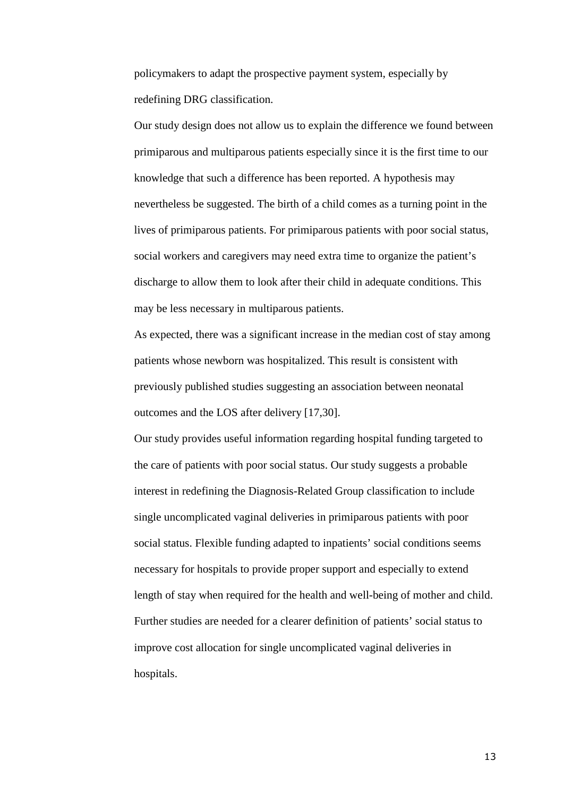policymakers to adapt the prospective payment system, especially by redefining DRG classification.

Our study design does not allow us to explain the difference we found between primiparous and multiparous patients especially since it is the first time to our knowledge that such a difference has been reported. A hypothesis may nevertheless be suggested. The birth of a child comes as a turning point in the lives of primiparous patients. For primiparous patients with poor social status, social workers and caregivers may need extra time to organize the patient's discharge to allow them to look after their child in adequate conditions. This may be less necessary in multiparous patients.

As expected, there was a significant increase in the median cost of stay among patients whose newborn was hospitalized. This result is consistent with previously published studies suggesting an association between neonatal outcomes and the LOS after delivery [17,30].

Our study provides useful information regarding hospital funding targeted to the care of patients with poor social status. Our study suggests a probable interest in redefining the Diagnosis-Related Group classification to include single uncomplicated vaginal deliveries in primiparous patients with poor social status. Flexible funding adapted to inpatients' social conditions seems necessary for hospitals to provide proper support and especially to extend length of stay when required for the health and well-being of mother and child. Further studies are needed for a clearer definition of patients' social status to improve cost allocation for single uncomplicated vaginal deliveries in hospitals.

13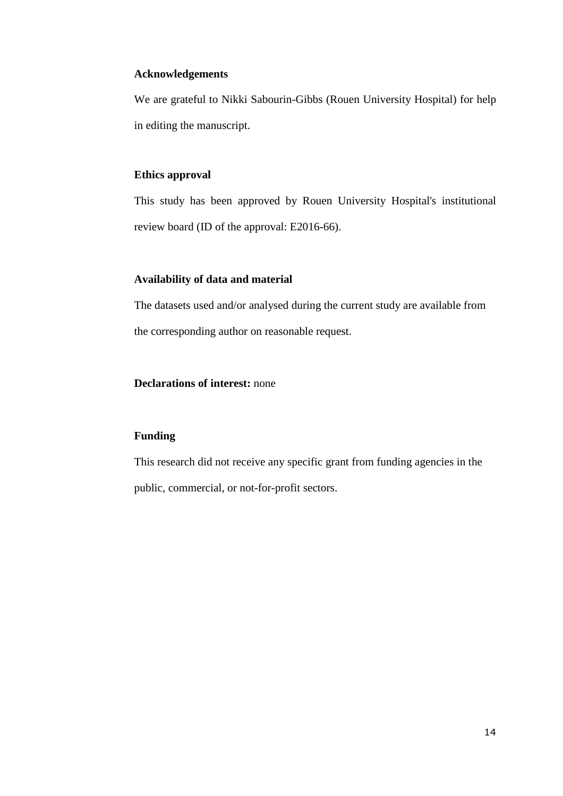## **Acknowledgements**

We are grateful to Nikki Sabourin-Gibbs (Rouen University Hospital) for help in editing the manuscript.

## **Ethics approval**

This study has been approved by Rouen University Hospital's institutional review board (ID of the approval: E2016-66).

## **Availability of data and material**

The datasets used and/or analysed during the current study are available from the corresponding author on reasonable request.

## **Declarations of interest:** none

## **Funding**

This research did not receive any specific grant from funding agencies in the public, commercial, or not-for-profit sectors.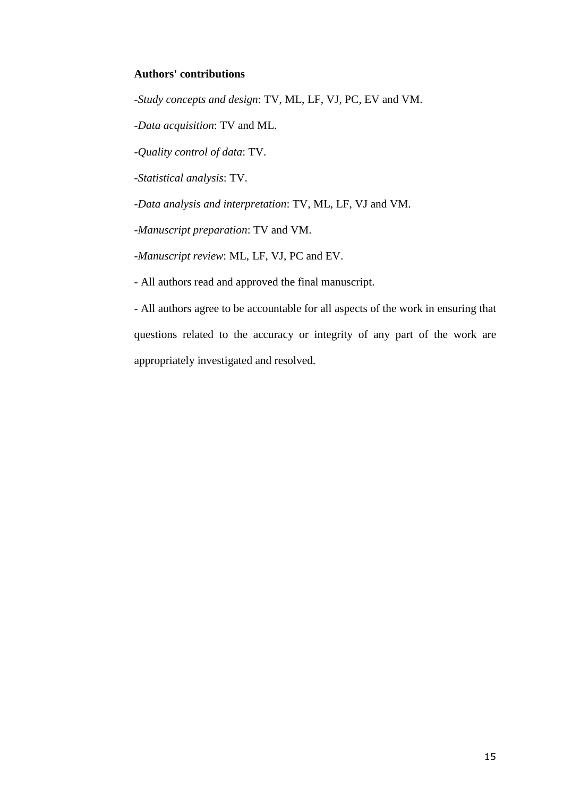## **Authors' contributions**

-*Study concepts and design*: TV, ML, LF, VJ, PC, EV and VM.

-*Data acquisition*: TV and ML.

-*Quality control of data*: TV.

-*Statistical analysis*: TV.

-*Data analysis and interpretation*: TV, ML, LF, VJ and VM.

-*Manuscript preparation*: TV and VM.

-*Manuscript review*: ML, LF, VJ, PC and EV.

- All authors read and approved the final manuscript.

- All authors agree to be accountable for all aspects of the work in ensuring that questions related to the accuracy or integrity of any part of the work are appropriately investigated and resolved.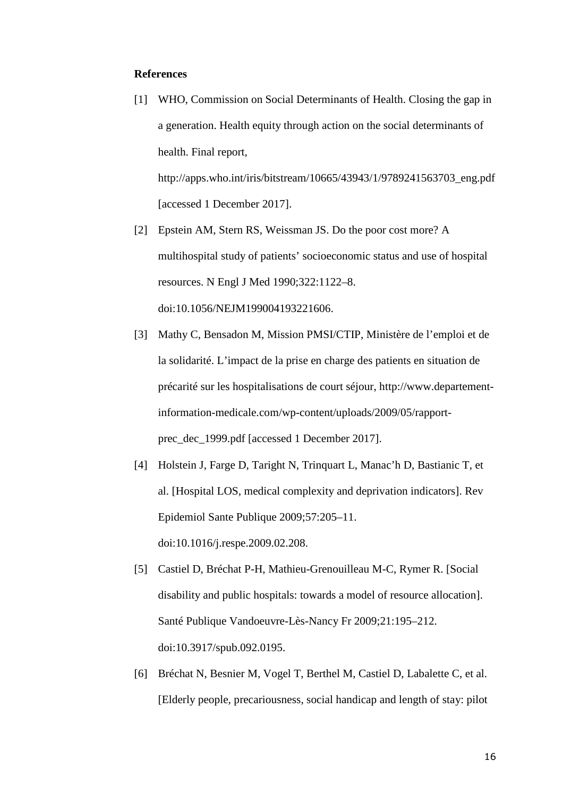#### **References**

[1] WHO, Commission on Social Determinants of Health. Closing the gap in a generation. Health equity through action on the social determinants of health. Final report,

http://apps.who.int/iris/bitstream/10665/43943/1/9789241563703\_eng.pdf [accessed 1 December 2017].

- [2] Epstein AM, Stern RS, Weissman JS. Do the poor cost more? A multihospital study of patients' socioeconomic status and use of hospital resources. N Engl J Med 1990;322:1122–8. doi:10.1056/NEJM199004193221606.
- [3] Mathy C, Bensadon M, Mission PMSI/CTIP, Ministère de l'emploi et de la solidarité. L'impact de la prise en charge des patients en situation de précarité sur les hospitalisations de court séjour, http://www.departementinformation-medicale.com/wp-content/uploads/2009/05/rapportprec\_dec\_1999.pdf [accessed 1 December 2017].
- [4] Holstein J, Farge D, Taright N, Trinquart L, Manac'h D, Bastianic T, et al. [Hospital LOS, medical complexity and deprivation indicators]. Rev Epidemiol Sante Publique 2009;57:205–11. doi:10.1016/j.respe.2009.02.208.
- [5] Castiel D, Bréchat P-H, Mathieu-Grenouilleau M-C, Rymer R. [Social disability and public hospitals: towards a model of resource allocation]. Santé Publique Vandoeuvre-Lès-Nancy Fr 2009;21:195–212. doi:10.3917/spub.092.0195.
- [6] Bréchat N, Besnier M, Vogel T, Berthel M, Castiel D, Labalette C, et al. [Elderly people, precariousness, social handicap and length of stay: pilot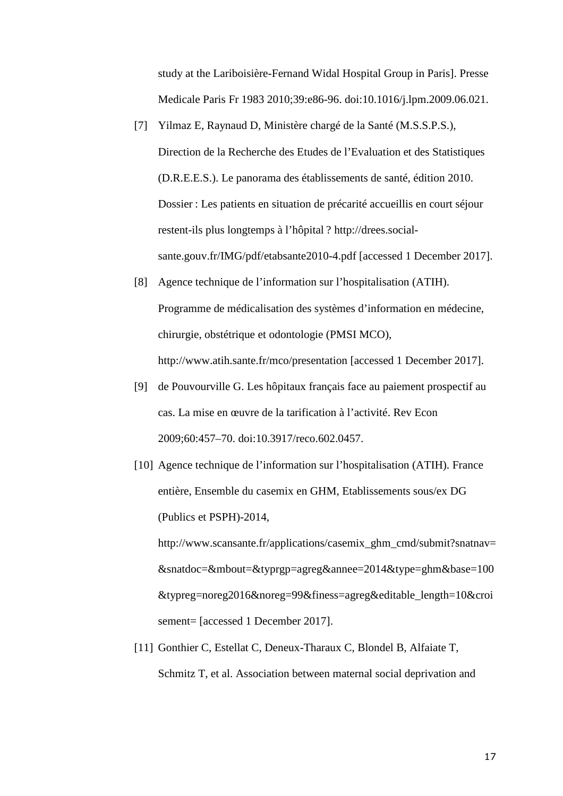study at the Lariboisière-Fernand Widal Hospital Group in Paris]. Presse Medicale Paris Fr 1983 2010;39:e86-96. doi:10.1016/j.lpm.2009.06.021.

- [7] Yilmaz E, Raynaud D, Ministère chargé de la Santé (M.S.S.P.S.), Direction de la Recherche des Etudes de l'Evaluation et des Statistiques (D.R.E.E.S.). Le panorama des établissements de santé, édition 2010. Dossier : Les patients en situation de précarité accueillis en court séjour restent-ils plus longtemps à l'hôpital ? http://drees.socialsante.gouv.fr/IMG/pdf/etabsante2010-4.pdf [accessed 1 December 2017].
- [8] Agence technique de l'information sur l'hospitalisation (ATIH). Programme de médicalisation des systèmes d'information en médecine, chirurgie, obstétrique et odontologie (PMSI MCO), http://www.atih.sante.fr/mco/presentation [accessed 1 December 2017].
- [9] de Pouvourville G. Les hôpitaux français face au paiement prospectif au cas. La mise en œuvre de la tarification à l'activité. Rev Econ 2009;60:457–70. doi:10.3917/reco.602.0457.
- [10] Agence technique de l'information sur l'hospitalisation (ATIH). France entière, Ensemble du casemix en GHM, Etablissements sous/ex DG (Publics et PSPH)-2014,

http://www.scansante.fr/applications/casemix\_ghm\_cmd/submit?snatnav= &snatdoc=&mbout=&typrgp=agreg&annee=2014&type=ghm&base=100 &typreg=noreg2016&noreg=99&finess=agreg&editable\_length=10&croi sement= [accessed 1 December 2017].

[11] Gonthier C, Estellat C, Deneux-Tharaux C, Blondel B, Alfaiate T, Schmitz T, et al. Association between maternal social deprivation and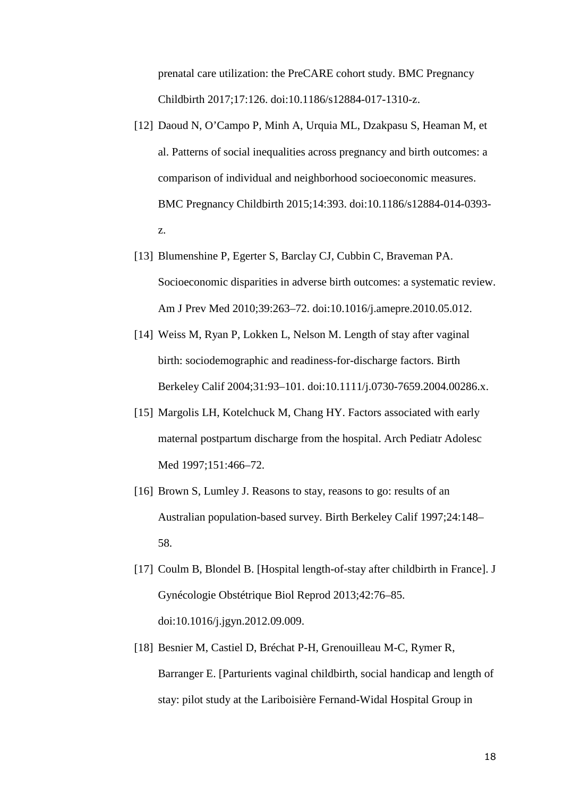prenatal care utilization: the PreCARE cohort study. BMC Pregnancy Childbirth 2017;17:126. doi:10.1186/s12884-017-1310-z.

- [12] Daoud N, O'Campo P, Minh A, Urquia ML, Dzakpasu S, Heaman M, et al. Patterns of social inequalities across pregnancy and birth outcomes: a comparison of individual and neighborhood socioeconomic measures. BMC Pregnancy Childbirth 2015;14:393. doi:10.1186/s12884-014-0393 z.
- [13] Blumenshine P, Egerter S, Barclay CJ, Cubbin C, Braveman PA. Socioeconomic disparities in adverse birth outcomes: a systematic review. Am J Prev Med 2010;39:263–72. doi:10.1016/j.amepre.2010.05.012.
- [14] Weiss M, Ryan P, Lokken L, Nelson M. Length of stay after vaginal birth: sociodemographic and readiness-for-discharge factors. Birth Berkeley Calif 2004;31:93–101. doi:10.1111/j.0730-7659.2004.00286.x.
- [15] Margolis LH, Kotelchuck M, Chang HY. Factors associated with early maternal postpartum discharge from the hospital. Arch Pediatr Adolesc Med 1997;151:466–72.
- [16] Brown S, Lumley J. Reasons to stay, reasons to go: results of an Australian population-based survey. Birth Berkeley Calif 1997;24:148– 58.
- [17] Coulm B, Blondel B. [Hospital length-of-stay after childbirth in France]. J Gynécologie Obstétrique Biol Reprod 2013;42:76–85. doi:10.1016/j.jgyn.2012.09.009.
- [18] Besnier M, Castiel D, Bréchat P-H, Grenouilleau M-C, Rymer R, Barranger E. [Parturients vaginal childbirth, social handicap and length of stay: pilot study at the Lariboisière Fernand-Widal Hospital Group in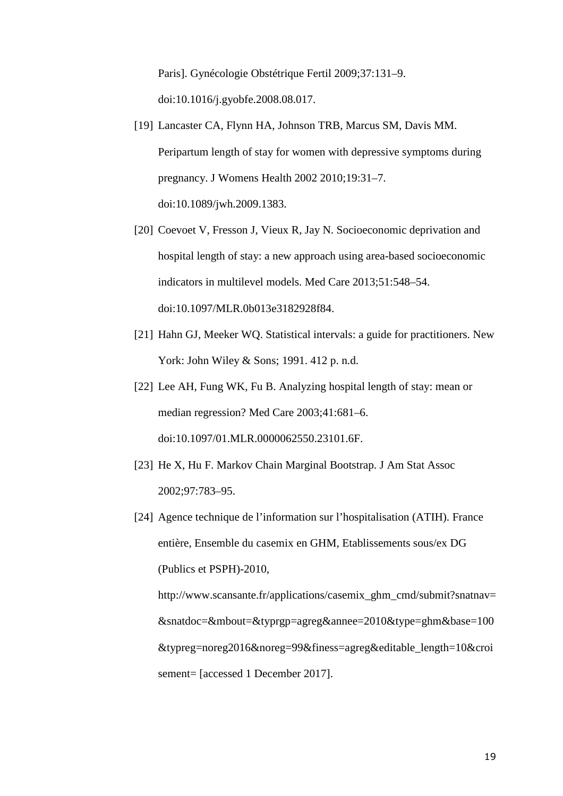Paris]. Gynécologie Obstétrique Fertil 2009;37:131–9. doi:10.1016/j.gyobfe.2008.08.017.

- [19] Lancaster CA, Flynn HA, Johnson TRB, Marcus SM, Davis MM. Peripartum length of stay for women with depressive symptoms during pregnancy. J Womens Health 2002 2010;19:31–7. doi:10.1089/jwh.2009.1383.
- [20] Coevoet V, Fresson J, Vieux R, Jay N. Socioeconomic deprivation and hospital length of stay: a new approach using area-based socioeconomic indicators in multilevel models. Med Care 2013;51:548–54. doi:10.1097/MLR.0b013e3182928f84.
- [21] Hahn GJ, Meeker WQ. Statistical intervals: a guide for practitioners. New York: John Wiley & Sons; 1991. 412 p. n.d.
- [22] Lee AH, Fung WK, Fu B. Analyzing hospital length of stay: mean or median regression? Med Care 2003;41:681–6. doi:10.1097/01.MLR.0000062550.23101.6F.
- [23] He X, Hu F. Markov Chain Marginal Bootstrap. J Am Stat Assoc 2002;97:783–95.
- [24] Agence technique de l'information sur l'hospitalisation (ATIH). France entière, Ensemble du casemix en GHM, Etablissements sous/ex DG (Publics et PSPH)-2010,

http://www.scansante.fr/applications/casemix\_ghm\_cmd/submit?snatnav= &snatdoc=&mbout=&typrgp=agreg&annee=2010&type=ghm&base=100 &typreg=noreg2016&noreg=99&finess=agreg&editable\_length=10&croi sement= [accessed 1 December 2017].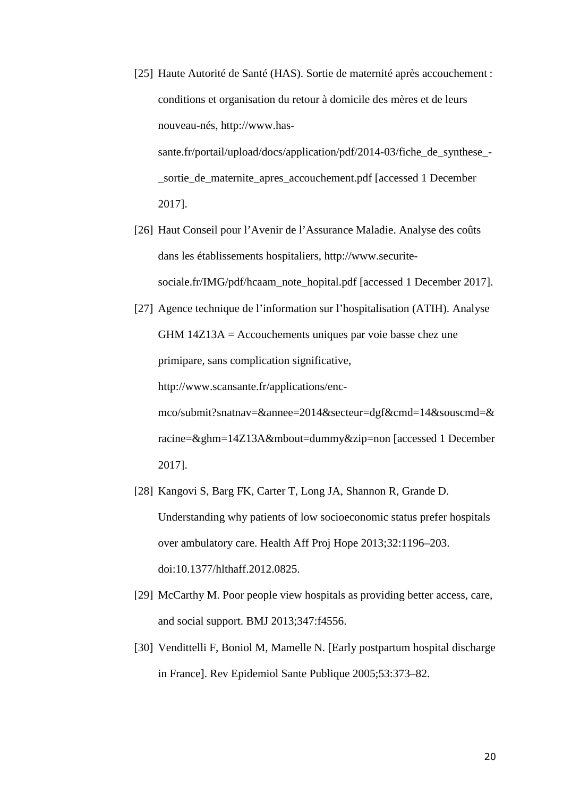- [25] Haute Autorité de Santé (HAS). Sortie de maternité après accouchement : conditions et organisation du retour à domicile des mères et de leurs nouveau-nés, http://www.hassante.fr/portail/upload/docs/application/pdf/2014-03/fiche\_de\_synthese\_- \_sortie\_de\_maternite\_apres\_accouchement.pdf [accessed 1 December 2017].
- [26] Haut Conseil pour l'Avenir de l'Assurance Maladie. Analyse des coûts dans les établissements hospitaliers, http://www.securitesociale.fr/IMG/pdf/hcaam\_note\_hopital.pdf [accessed 1 December 2017].
- [27] Agence technique de l'information sur l'hospitalisation (ATIH). Analyse GHM 14Z13A = Accouchements uniques par voie basse chez une primipare, sans complication significative,

http://www.scansante.fr/applications/enc-

mco/submit?snatnav=&annee=2014&secteur=dgf&cmd=14&souscmd=& racine=&ghm=14Z13A&mbout=dummy&zip=non [accessed 1 December 2017].

- [28] Kangovi S, Barg FK, Carter T, Long JA, Shannon R, Grande D. Understanding why patients of low socioeconomic status prefer hospitals over ambulatory care. Health Aff Proj Hope 2013;32:1196–203. doi:10.1377/hlthaff.2012.0825.
- [29] McCarthy M. Poor people view hospitals as providing better access, care, and social support. BMJ 2013;347:f4556.
- [30] Vendittelli F, Boniol M, Mamelle N. [Early postpartum hospital discharge in France]. Rev Epidemiol Sante Publique 2005;53:373–82.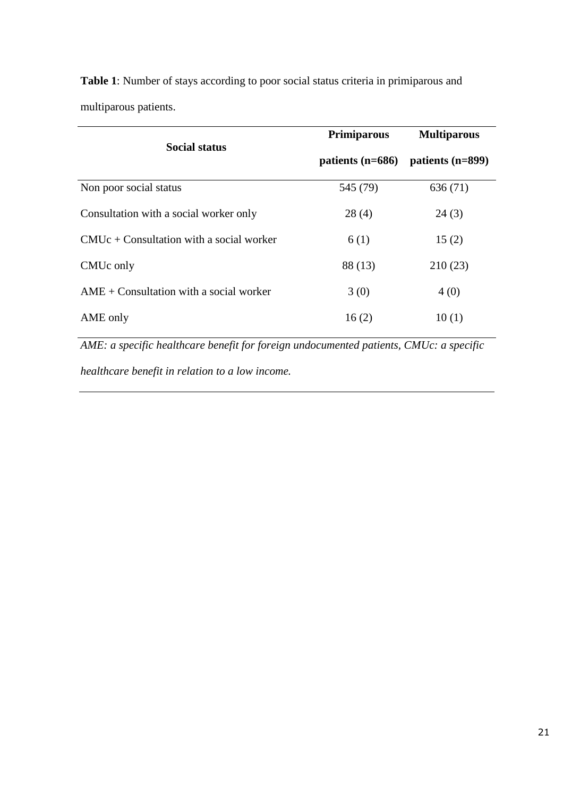| <b>Social status</b>                       | <b>Primiparous</b> | <b>Multiparous</b> |  |
|--------------------------------------------|--------------------|--------------------|--|
|                                            | patients $(n=686)$ | patients (n=899)   |  |
| Non poor social status                     | 545 (79)           | 636 (71)           |  |
| Consultation with a social worker only     | 28(4)              | 24(3)              |  |
| $CMUc + Constantion$ with a social worker  | 6(1)               | 15(2)              |  |
| CMU <sub>c</sub> only                      | 88 (13)            | 210(23)            |  |
| $AME + Constantation$ with a social worker | 3(0)               | 4(0)               |  |
| AME only                                   | 16(2)              | 10(1)              |  |

**Table 1**: Number of stays according to poor social status criteria in primiparous and multiparous patients.

*AME: a specific healthcare benefit for foreign undocumented patients, CMUc: a specific* 

*healthcare benefit in relation to a low income.*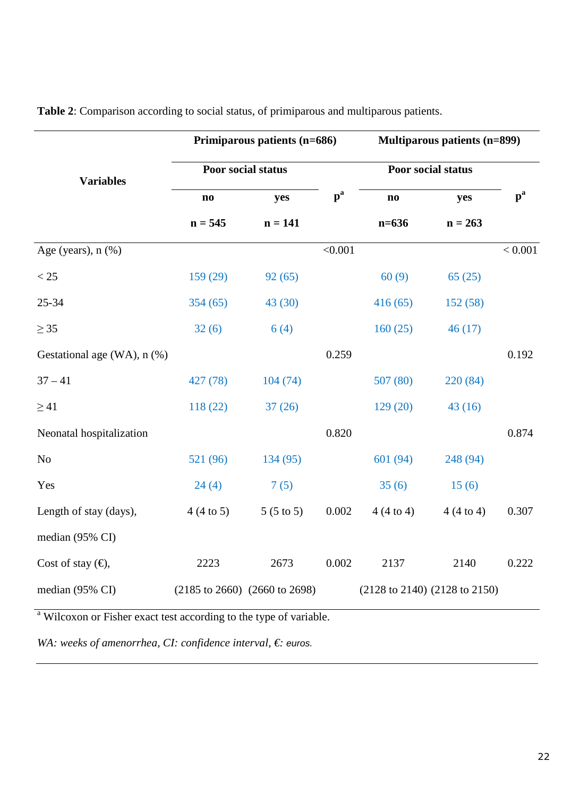|                             | Primiparous patients (n=686) |                                                     |                           | <b>Multiparous patients (n=899)</b> |           |                           |
|-----------------------------|------------------------------|-----------------------------------------------------|---------------------------|-------------------------------------|-----------|---------------------------|
| <b>Variables</b>            | Poor social status           |                                                     |                           | Poor social status                  |           |                           |
|                             | $\mathbf{n}\mathbf{o}$       | yes                                                 | $\mathbf{p}^{\mathbf{a}}$ | $\mathbf{no}$                       | yes       | $\mathbf{p}^{\mathbf{a}}$ |
|                             | $n = 545$                    | $n = 141$                                           |                           | $n=636$                             | $n = 263$ |                           |
| Age (years), $n$ $(\%)$     |                              |                                                     | < 0.001                   |                                     |           | < 0.001                   |
| $<25\,$                     | 159(29)                      | 92(65)                                              |                           | 60(9)                               | 65(25)    |                           |
| 25-34                       | 354(65)                      | 43(30)                                              |                           | 416(65)                             | 152(58)   |                           |
| $\geq$ 35                   | 32(6)                        | 6(4)                                                |                           | 160(25)                             | 46(17)    |                           |
| Gestational age (WA), n (%) |                              |                                                     | 0.259                     |                                     |           | 0.192                     |
| $37 - 41$                   | 427 (78)                     | 104(74)                                             |                           | 507(80)                             | 220 (84)  |                           |
| $\geq$ 41                   | 118(22)                      | 37(26)                                              |                           | 129(20)                             | 43(16)    |                           |
| Neonatal hospitalization    |                              |                                                     | 0.820                     |                                     |           | 0.874                     |
| N <sub>o</sub>              | 521 (96)                     | 134 (95)                                            |                           | 601 (94)                            | 248 (94)  |                           |
| Yes                         | 24(4)                        | 7(5)                                                |                           | 35(6)                               | 15(6)     |                           |
| Length of stay (days),      | $4(4 \text{ to } 5)$         | $5(5 \text{ to } 5)$                                | 0.002                     | 4(4 to 4)                           | 4(4 to 4) | 0.307                     |
| median (95% CI)             |                              |                                                     |                           |                                     |           |                           |
| Cost of stay $(\epsilon)$ , | 2223                         | 2673                                                | 0.002                     | 2137                                | 2140      | 0.222                     |
| median (95% CI)             |                              | $(2185 \text{ to } 2660)$ $(2660 \text{ to } 2698)$ |                           | (2128 to 2140) (2128 to 2150)       |           |                           |

**Table 2**: Comparison according to social status, of primiparous and multiparous patients.

<sup>a</sup> Wilcoxon or Fisher exact test according to the type of variable.

*WA: weeks of amenorrhea, CI: confidence interval, €: euros.*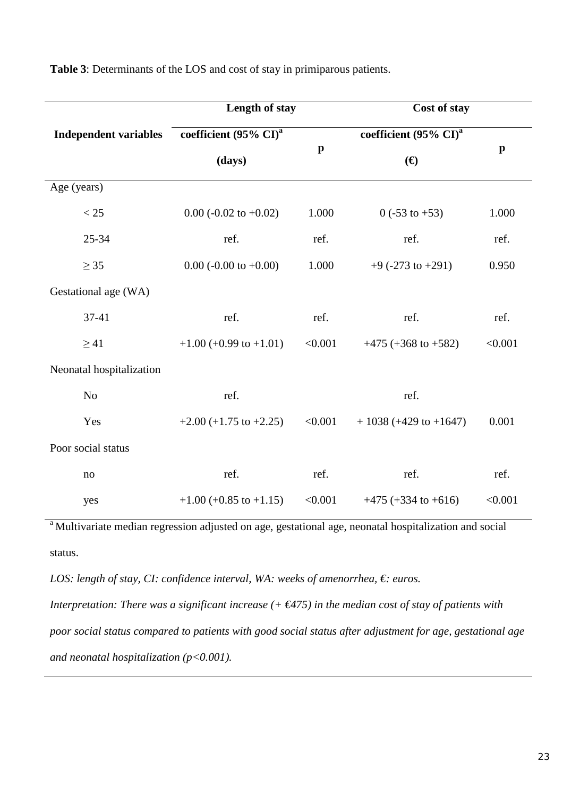|                              | Length of stay                    |              | Cost of stay                      |              |
|------------------------------|-----------------------------------|--------------|-----------------------------------|--------------|
| <b>Independent variables</b> | coefficient (95% CI) <sup>a</sup> |              | coefficient (95% CI) <sup>a</sup> |              |
|                              | (days)                            | $\mathbf{p}$ | (E)                               | $\mathbf{p}$ |
| Age (years)                  |                                   |              |                                   |              |
| < 25                         | $0.00$ (-0.02 to +0.02)           | 1.000        | $0$ (-53 to +53)                  | 1.000        |
| $25 - 34$                    | ref.                              | ref.         | ref.                              | ref.         |
| $\geq$ 35                    | $0.00$ (-0.00 to +0.00)           | 1.000        | $+9$ (-273 to +291)               | 0.950        |
| Gestational age (WA)         |                                   |              |                                   |              |
| 37-41                        | ref.                              | ref.         | ref.                              | ref.         |
| $\geq$ 41                    | $+1.00 (+0.99 \text{ to } +1.01)$ | < 0.001      | $+475 (+368 to +582)$             | < 0.001      |
| Neonatal hospitalization     |                                   |              |                                   |              |
| N <sub>o</sub>               | ref.                              |              | ref.                              |              |
| Yes                          | $+2.00 (+1.75 \text{ to } +2.25)$ | < 0.001      | $+1038 (+429 to +1647)$           | 0.001        |
| Poor social status           |                                   |              |                                   |              |
| no                           | ref.                              | ref.         | ref.                              | ref.         |
| yes                          | $+1.00 (+0.85 \text{ to } +1.15)$ | < 0.001      | $+475 (+334 to +616)$             | < 0.001      |

**Table 3**: Determinants of the LOS and cost of stay in primiparous patients.

<sup>a</sup>Multivariate median regression adjusted on age, gestational age, neonatal hospitalization and social status.

*LOS: length of stay, CI: confidence interval, WA: weeks of amenorrhea, €: euros.* 

*Interpretation: There was a significant increase (+ €475) in the median cost of stay of patients with poor social status compared to patients with good social status after adjustment for age, gestational age and neonatal hospitalization (p<0.001).*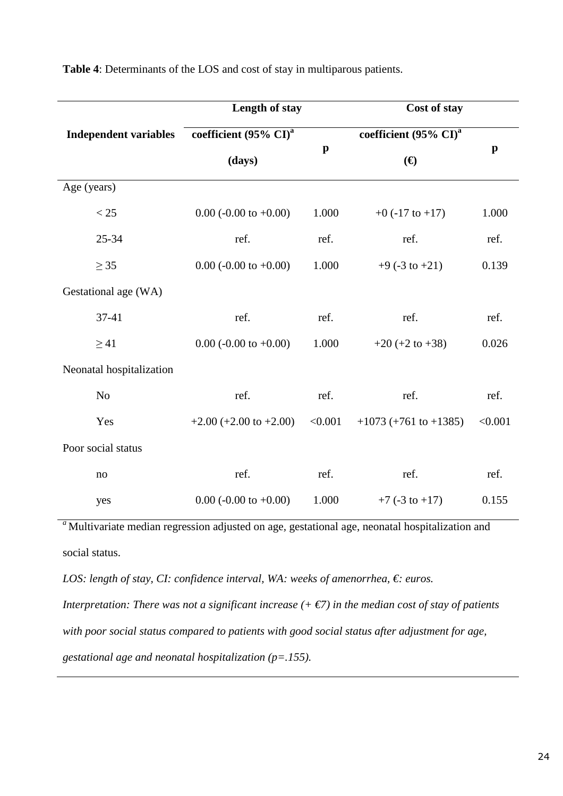|                              | Length of stay                                              |         | Cost of stay                                   |              |
|------------------------------|-------------------------------------------------------------|---------|------------------------------------------------|--------------|
| <b>Independent variables</b> | coefficient (95% CI) <sup>a</sup><br>$\mathbf{p}$<br>(days) |         | coefficient (95% $\overline{{\rm Cl}^{\rm a}}$ |              |
|                              |                                                             |         | $(\boldsymbol{\epsilon})$                      | $\mathbf{p}$ |
| Age (years)                  |                                                             |         |                                                |              |
| < 25                         | $0.00$ (-0.00 to +0.00)                                     | 1.000   | $+0$ (-17 to $+17$ )                           | 1.000        |
| 25-34                        | ref.                                                        | ref.    | ref.                                           | ref.         |
| $\geq$ 35                    | $0.00$ (-0.00 to +0.00)                                     | 1.000   | $+9$ (-3 to $+21$ )                            | 0.139        |
| Gestational age (WA)         |                                                             |         |                                                |              |
| 37-41                        | ref.                                                        | ref.    | ref.                                           | ref.         |
| $\geq$ 41                    | $0.00$ (-0.00 to +0.00)                                     | 1.000   | $+20 (+2 to +38)$                              | 0.026        |
| Neonatal hospitalization     |                                                             |         |                                                |              |
| N <sub>o</sub>               | ref.                                                        | ref.    | ref.                                           | ref.         |
| Yes                          | $+2.00 (+2.00 to +2.00)$                                    | < 0.001 | $+1073 (+761 to +1385)$                        | < 0.001      |
| Poor social status           |                                                             |         |                                                |              |
| no                           | ref.                                                        | ref.    | ref.                                           | ref.         |
| yes                          | $0.00$ (-0.00 to +0.00)                                     | 1.000   | $+7$ (-3 to $+17$ )                            | 0.155        |

**Table 4**: Determinants of the LOS and cost of stay in multiparous patients.

<sup>a</sup>Multivariate median regression adjusted on age, gestational age, neonatal hospitalization and social status.

*LOS: length of stay, CI: confidence interval, WA: weeks of amenorrhea, €: euros.* 

*Interpretation: There was not a significant increase*  $(+\epsilon 7)$  *in the median cost of stay of patients with poor social status compared to patients with good social status after adjustment for age, gestational age and neonatal hospitalization (p=.155).*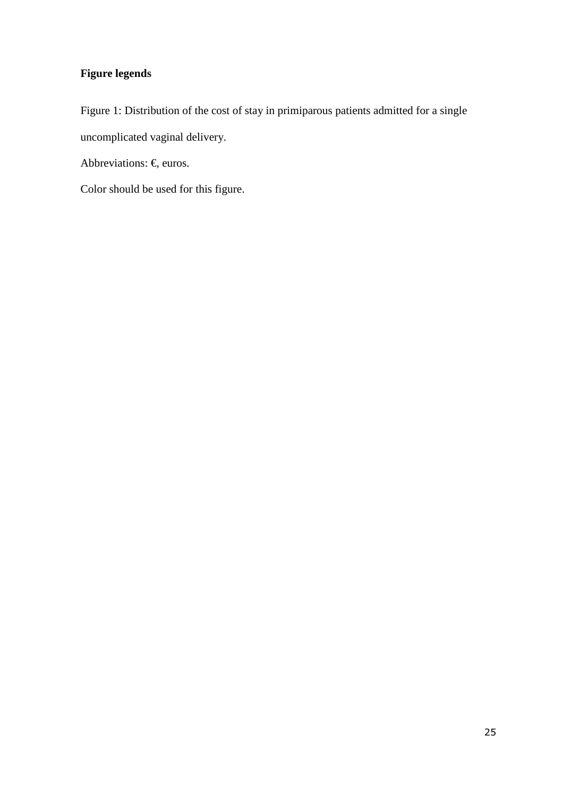## **Figure legends**

Figure 1: Distribution of the cost of stay in primiparous patients admitted for a single uncomplicated vaginal delivery.

Abbreviations:  $\epsilon$ , euros.

Color should be used for this figure.